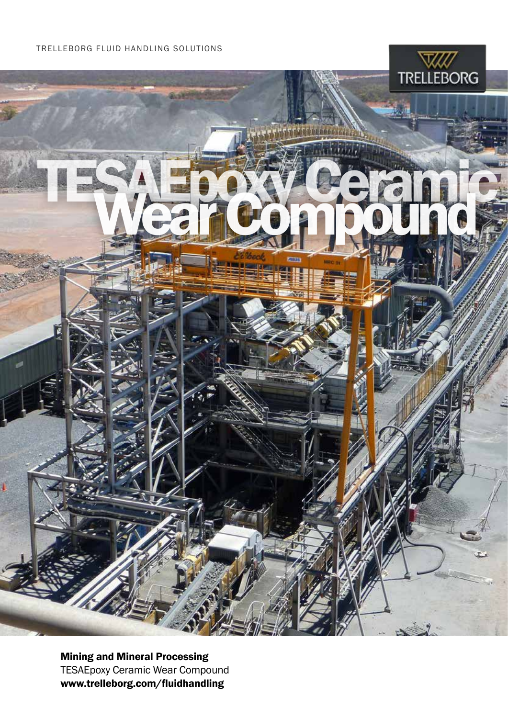p

TESAEpoxy Ceramic



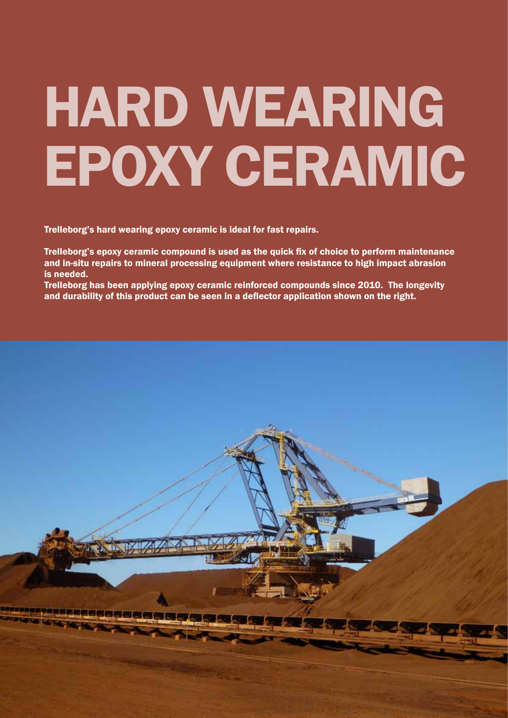# HARD WEARING EPOXY CERAMIC

Trelleborg's hard wearing epoxy ceramic is ideal for fast repairs.

Trelleborg's epoxy ceramic compound is used as the quick fix of choice to perform maintenance and in-situ repairs to mineral processing equipment where resistance to high impact abrasion is needed.

Trelleborg has been applying epoxy ceramic reinforced compounds since 2010. The longevity and durability of this product can be seen in a deflector application shown on the right.

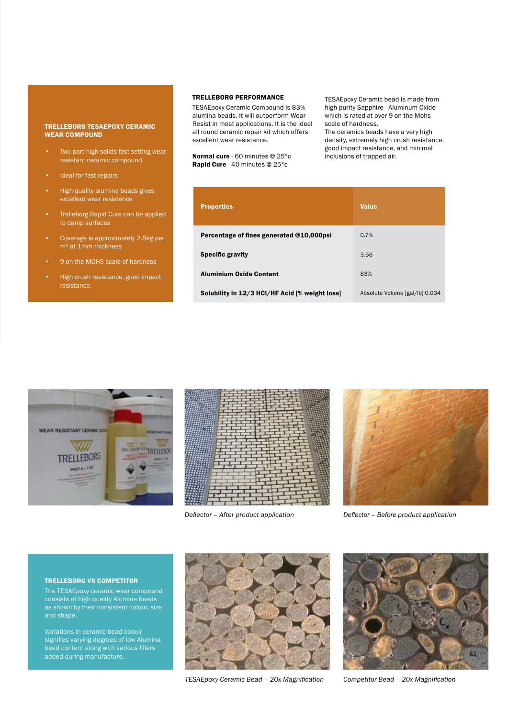## TRELLEBORG TESAEPOXY CERAMIC WEAR COMPOUND

- Two part high solids fast setting wear resistant ceramic compound
- Ideal for fast repairs
- High quality alumina beads gives excellent wear resistance
- Trelleborg Rapid Cure can be applied to damp surfaces
- Coverage is approximately 2.5kg per m<sup>2</sup> at 1mm thickness
- 9 on the MOHS scale of hardness
- High crush resistance, good impact resistance.

# TRELLEBORG PERFORMANCE

TESAEpoxy Ceramic Compound is 83% alumina beads. It will outperform Wear Resist in most applications. It is the ideal all round ceramic repair kit which offers excellent wear resistance.

Normal cure - 60 minutes @ 25°c Rapid Cure - 40 minutes @ 25°c

TESAEpoxy Ceramic bead is made from high purity Sapphire - Aluminum Oxide which is rated at over 9 on the Mohs scale of hardness.

The ceramics beads have a very high density, extremely high crush resistance, good impact resistance, and minimal inclusions of trapped air.

| <b>Properties</b>                              | <b>Value</b>                   |
|------------------------------------------------|--------------------------------|
| Percentage of fines generated @10,000psi       | 0.7%                           |
| <b>Specific gravity</b>                        | 3.56                           |
| <b>Aluminium Oxide Content</b>                 | 83%                            |
| Solubility in 12/3 HCl/HF Acid [% weight loss] | Absolute Volume [gal/lb] 0.034 |







*Deflector – After product application Deflector – Before product application*

## TRELLEBORG VS COMPETITOR

The TESAEpoxy ceramic wear compound consists of high quality Alumina beads as shown by their consistent colour, size and shape.

Variations in ceramic bead colour signifies varying degrees of low Alumina bead content along with various fillers added during manufacture.



*TESAEpoxy Ceramic Bead – 20x Magnification Competitor Bead – 20x Magnification*